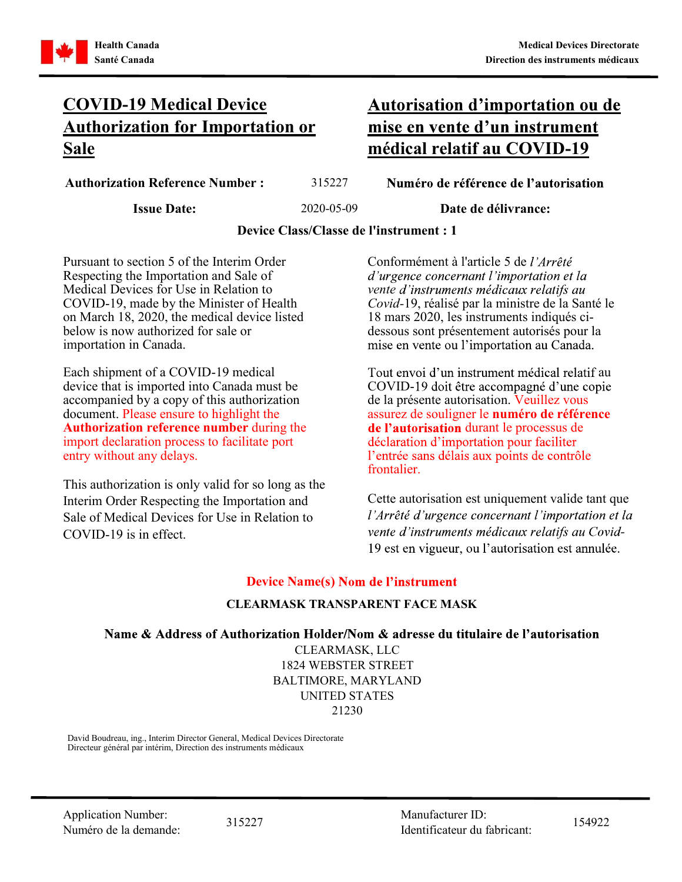

# COVID-19 Medical Device Authorization for Importation or Sale médical relatif au COVID-19

Autorisation d'importation ou de

Authorization Reference Number : 315227 Numéro de référence de l'autorisation

Issue Date: 2020-05-09 Date de délivrance:

Device Class/Classe de l'instrument : 1

Pursuant to section 5 of the Interim Order Respecting the Importation and Sale of Medical Devices for Use in Relation to COVID-19, made by the Minister of Health on March 18, 2020, the medical device listed below is now authorized for sale or importation in Canada.

Each shipment of a COVID-19 medical device that is imported into Canada must be accompanied by a copy of this authorization document. Please ensure to highlight the Authorization reference number during the import declaration process to facilitate port declaration d'importation pour faciliter entry without any delays.

This authorization is only valid for so long as the Interim Order Respecting the Importation and COVID-19 is in effect.

Conformément à l'article 5 de d'urgence concernant l'importation et la vente d'instruments médicaux relatifs au Covid-19, réalisé par la ministre de la Santé le 18 mars 2020, les instruments indiqués cidessous sont présentement autorisés pour la mise en vente ou l'importation au Canada.

Tout envoi d'un instrument médical relatif au COVID-19 doit être accompagné d'une copie de la présente autorisation. Veuillez vous assurez de souligner le numéro de référence de l'autorisation durant le processus de e frontalier.

Cette autorisation est uniquement valide tant que Sale of Medical Devices for Use in Relation to *l'Arrêté d'urgence concernant l'importation et la* 2000 - Animal 19 est en vigueur, ou l'autorisation est annulée.

### Device Name(s) Nom de l'instrument

### CLEARMASK TRANSPARENT FACE MASK

Name & Address of Authorization Holder/Nom & adresse du titulaire de l'autorisation

CLEARMASK, LLC 1824 WEBSTER STREET BALTIMORE, MARYLAND UNITED STATES 21230

David Boudreau, ing., Interim Director General, Medical Devices Directorate Directeur général par intérim, Direction des instruments médicaux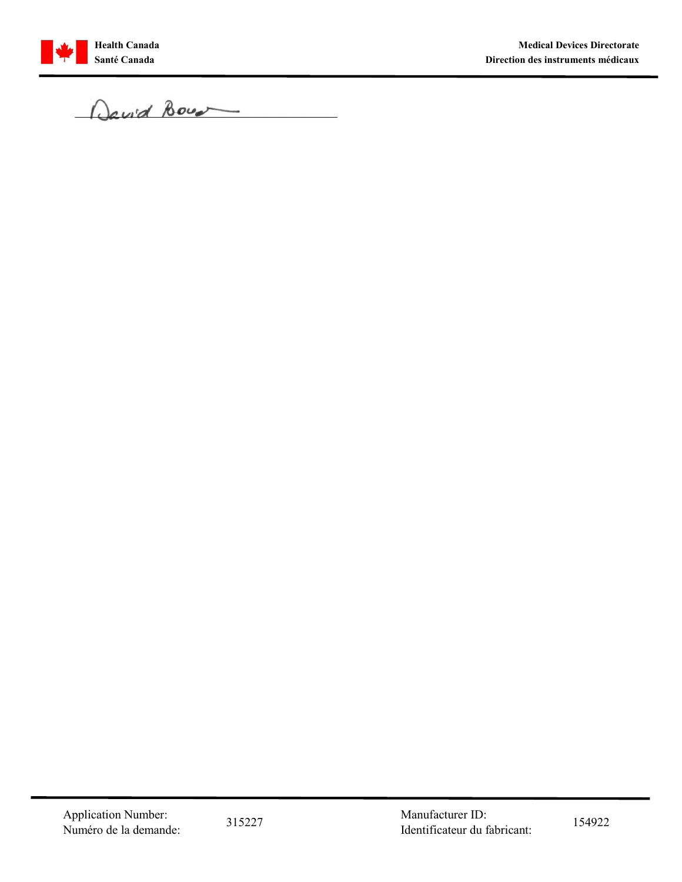

Health Canada<br>Santé Canada<br>Da vid Bourd  $\Omega$ avid Bour